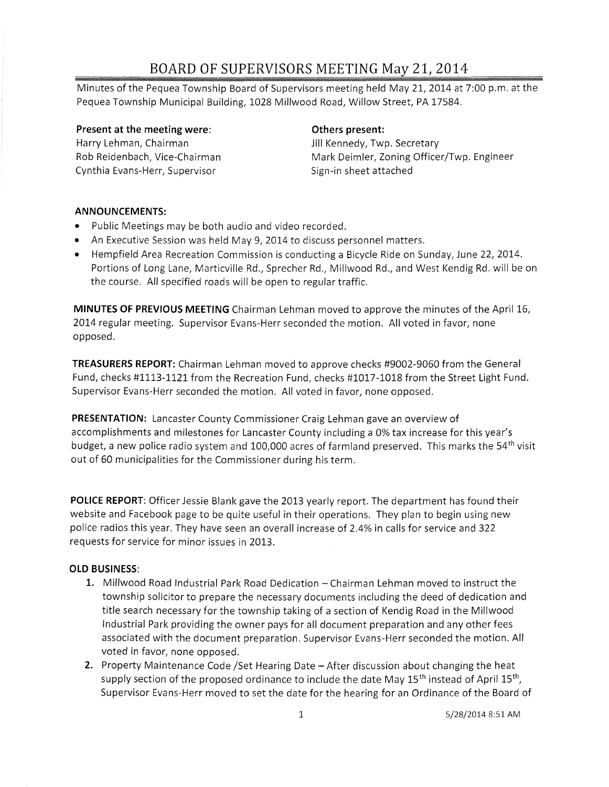# **BOARD OF SUPERVISORS\_MEETING May 21, 2014**

Minutes of the Pequea Township Board of Supervisors meeting held May 21,2014 at 7:00 p.m. at the Pequea Township Municipal Building, 1028 Millwood Road, Willow Street, PA 17584.

**Present at the meeting were:**  Harry Lehman, Chairman Rob Reidenbach, Vice-Chairman Cynthia Evans-Herr, Supervisor

## **Others present:**

Jill Kennedy, Twp. Secretary Mark Deimler, Zoning Officer/Twp. Engineer Sign-in sheet attached

## **ANNOUNCEMENTS:**

- Public Meetings may be both audio and video recorded.
- An Executive Session was held May 9, 2014 to discuss personnel matters.
- Hempfield Area Recreation Commission is conducting a Bicycle Ride on Sunday, June 22, 2014. Portions of Long Lane, Marticville Rd., Sprecher Rd., Millwood Rd., and West Kendig Rd. will be on the course. All specified roads will be open to regular traffic.

**MINUTES OF PREVIOUS MEETING** Chairman Lehman moved to approve the minutes of the April 16, 2014 regular meeting. Supervisor Evans-Herr seconded the motion. All voted in favor, none opposed.

**TREASURERS REPORT:** Chairman Lehman moved to approve checks #9002-9060 from the General Fund, checks #1113-1121 from the Recreation Fund, checks #1017-1018 from the Street Light Fund. Supervisor Evans-Herr seconded the motion. All voted in favor, none opposed.

**PRESENTATION:** Lancaster County Commissioner Craig Lehman gave an overview of accomplishments and milestones for Lancaster County including a 0% tax increase for this year's budget, a new police radio system and 100,000 acres of farmland preserved. This marks the 54<sup>th</sup> visit out of 60 municipalities for the Commissioner during his term.

**POLICE REPORT:** Officer Jessie Blank gave the 2013 yearly report. The department has found their website and Facebook page to be quite useful in their operations. They plan to begin using new police radios this year. They have seen an overall increase of 2.4% in calls for service and 322 requests for service for minor issues in 2013.

## **OLD BUSINESS:**

- 1. Millwood Road Industrial Park Road Dedication Chairman Lehman moved to instruct the township solicitor to prepare the necessary documents including the deed of dedication and title search necessary for the township taking of a section of Kendig Road in the Millwood Industrial Park providing the owner pays for all document preparation and any other fees associated with the document preparation. Supervisor Evans-Herr seconded the motion. All voted in favor, none opposed.
- **2.** Property Maintenance Code /Set Hearing Date After discussion about changing the heat supply section of the proposed ordinance to include the date May  $15<sup>th</sup>$  instead of April  $15<sup>th</sup>$ , Supervisor Evans-Herr moved to set the date for the hearing for an Ordinance of the Board of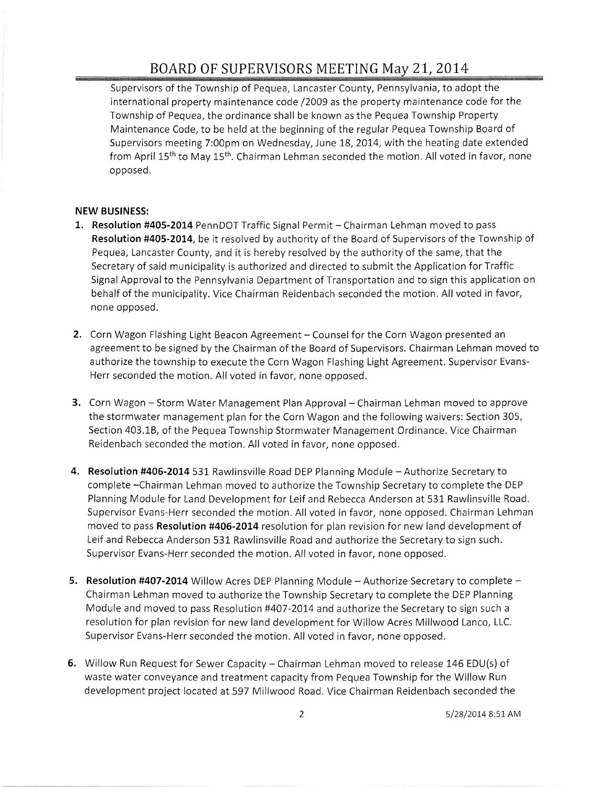# **BOARD OF SUPERVISORS MEETING** May **2t 2014**

Supervisors of the Township of Pequea, Lancaster County, Pennsylvania, to adopt the international property maintenance code /2009 as the property maintenance code for the Township of Pequea, the ordinance shall be known as the Pequea Township Property Maintenance Code, to be held at the beginning of the regular Pequea Township Board of Supervisors meeting 7:00pm on Wednesday, June 18, 2014, with the heating date extended from April 15<sup>th</sup> to May 15<sup>th</sup>. Chairman Lehman seconded the motion. All voted in favor, none opposed.

### **NEW BUSINESS:**

- **1. Resolution #405-2014** PennDOT Traffic Signal Permit Chairman Lehman moved to pass **Resolution #405-2014,** be it resolved by authority of the Board of Supervisors of the Township of Pequea, Lancaster County, and it is hereby resolved by the authority of the same, that the Secretary of said municipality is authorized and directed to submit the Application for Traffic Signal Approval to the Pennsylvania Department of Transportation and to sign this application on behalf of the municipality. Vice Chairman Reidenbach seconded the motion. All voted in favor, none opposed.
- **2.** Corn Wagon Flashing Light Beacon Agreement Counsel for the Corn Wagon presented an agreement to be signed by the Chairman of the Board of Supervisors. Chairman Lehman moved to authorize the township to execute the Corn Wagon Flashing Light Agreement. Supervisor Evans-Herr seconded the motion. All voted in favor, none opposed.
- **3.** Corn Wagon Storm Water Management Plan Approval Chairman Lehman moved to approve the stormwater management plan for the Corn Wagon and the following waivers: Section 305, Section 403.1B, of the Pequea Township Stormwater Management Ordinance. Vice Chairman Reidenbach seconded the motion. All voted in favor, none opposed.
- **4. Resolution #406-2014** 531 Rawlinsville Road DEP Planning Module Authorize Secretary to complete -Chairman Lehman moved to authorize the Township Secretary to complete the DEP Planning Module for Land Development for Leif and Rebecca Anderson at 531 Rawlinsville Road. Supervisor Evans-Herr seconded the motion. All voted in favor, none opposed. Chairman Lehman moved to pass **Resolution #406-2014** resolution for plan revision for new land development of Leif and Rebecca Anderson 531 Rawlinsville Road and authorize the Secretary to sign such. Supervisor Evans-Herr seconded the motion. All voted in favor, none opposed.
- **5. Resolution #407-2014** Willow Acres DEP Planning Module Authorize Secretary to complete Chairman Lehman moved to authorize the Township Secretary to complete the DEP Planning Module and moved to pass Resolution #407-2014 and authorize the Secretary to sign such a resolution for plan revision for new land development for Willow Acres Millwood Lanco, LLC. Supervisor Evans-Herr seconded the motion. All voted in favor, none opposed.
- **6.** Willow Run Request for Sewer Capacity Chairman Lehman moved to release 146 EDU(s) of waste water conveyance and treatment capacity from Pequea Township for the Willow Run development project located at 597 Millwood Road. Vice Chairman Reidenbach seconded the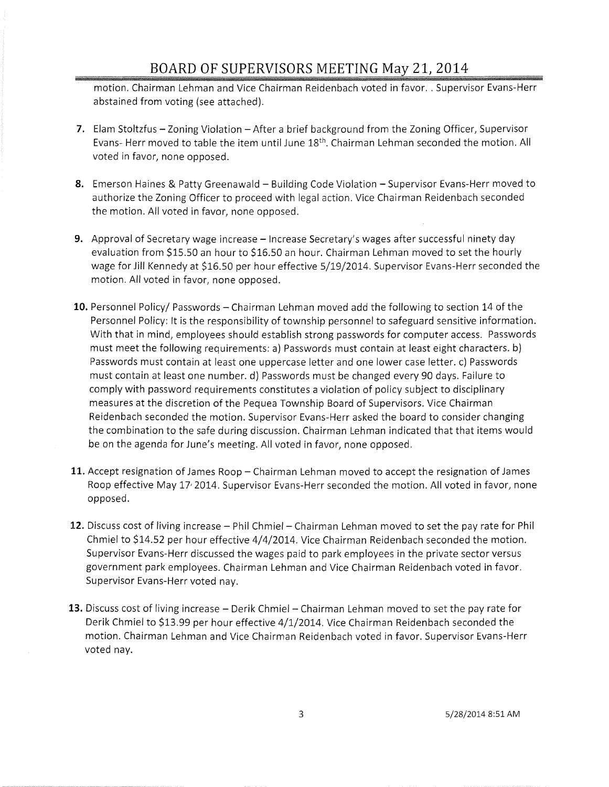# **BOARD OF SUPERVISORS MEET!NG** May 21~ **2014**

motion. Chairman Lehman and Vice Chairman Reidenbach voted in favor. . Supervisor Evans-Herr abstained from voting (see attached).

- **7.** Elam Stoltzfus Zoning Violation After a brief background from the Zoning Officer, Supervisor Evans- Herr moved to table the item until June 18<sup>th</sup>. Chairman Lehman seconded the motion. All voted in favor, none opposed.
- **8.** Emerson Haines & Patty Greenawald Building Code Violation Supervisor Evans-Herr moved to authorize the Zoning Officer to proceed with legal action. Vice Chairman Reidenbach seconded the motion. All voted in favor, none opposed.
- 9. Approval of Secretary wage increase Increase Secretary's wages after successful ninety day evaluation from \$15.50 an hour to \$16.50 an hour. Chairman Lehman moved to set the hourly wage for Jill Kennedy at \$16.50 per hour effective 5/19/2014. Supervisor Evans-Herr seconded the motion. All voted in favor, none opposed.
- 10. Personnel Policy/ Passwords Chairman Lehman moved add the following to section 14 of the Personnel Policy: It is the responsibility of township personnel to safeguard sensitive information. With that in mind, employees should establish strong passwords for computer access. Passwords must meet the following requirements: a) Passwords must contain at least eight characters. b) Passwords must contain at least one uppercase letter and one lower case letter. c) Passwords must contain at least one number. d) Passwords must be changed every 90 days. Failure to comply with password requirements constitutes a violation of policy subject to disciplinary measures at the discretion of the Pequea Township Board of Supervisors. Vice Chairman Reidenbach seconded the motion. Supervisor Evans-Herr asked the board to consider changing the combination to the safe during discussion. Chairman Lehman indicated that that items would be on the agenda for June's meeting. All voted in favor, none opposed.
- **11.** Accept resignation of James Roop Chairman Lehman moved to accept the resignation of James Roop effective May 17' 2014. Supervisor Evans-Herr seconded the motion. All voted in favor, none opposed.
- **12.** Discuss cost of living increase Phil Chmiel- Chairman Lehman moved to set the pay rate for Phil Chmiel to \$14.52 per hour effective 4/4/2014. Vice Chairman Reidenbach seconded the motion. Supervisor Evans-Herr discussed the wages paid to park employees in the private sector versus government park employees. Chairman Lehman and Vice Chairman Reidenbach voted in favor. Supervisor Evans-Herr voted nay.
- **13.** Discuss cost of living increase Derik Chmiel Chairman Lehman moved to set the pay rate for Derik Chmiel to \$13.99 per hour effective 4/1/2014. Vice Chairman Reidenbach seconded the motion. Chairman Lehman and Vice Chairman Reidenbach voted in favor. Supervisor Evans-Herr voted nay.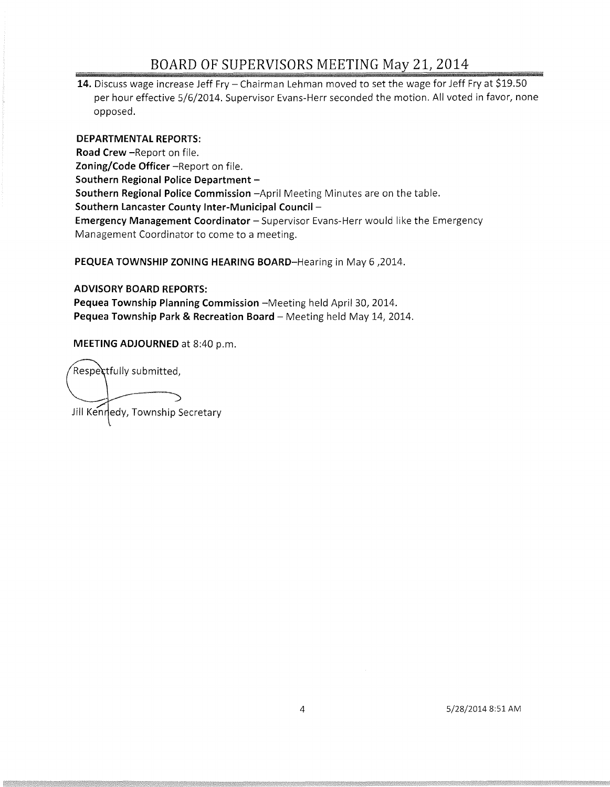# BOARD OF SUPERVISORS MEETING May 21, 2014

14. Discuss wage increase Jeff Fry - Chairman Lehman moved to set the wage for Jeff Fry at \$19.50 per hour effective 5/6/2014. Supervisor Evans-Herr seconded the motion. All voted in favor, none opposed.

#### **DEPARTMENTAL REPORTS:**

**Road Crew** -Report on file. **Zoning/Code Officer** -Report on file. **Southern Regional Police Department -Southern Regional Police Commission** -April Meeting Minutes are on the table. **Southern Lancaster County Inter-Municipal Council** - **Emergency Management Coordinator** - Supervisor Evans-Herr would like the Emergency Management Coordinator to come to a meeting.

**PEQUEA TOWNSHIP ZONING HEARING BOARD-Hearing** in May 6 ,2014.

### **ADVISORY BOARD REPORTS:**

Pequea Township Planning Commission -Meeting held April 30, 2014. Pequea Township Park & Recreation Board - Meeting held May 14, 2014.

**MEETING ADJOURNED** at 8:40 p.m.

Respectfully submitted, Jill Kennedy, Township Secretary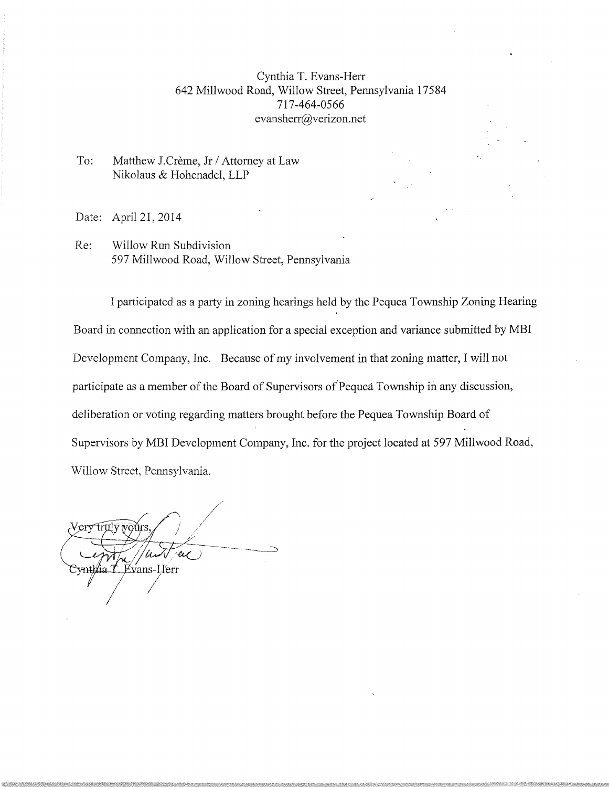## Cynthia T. Evans-Hen 642 Millwood Road, Willow Street, Pennsylvania 17584 717-464-0566 evansherr@verizon.net

To: Matthew J.Crème, Jr / Attorney at Law Nikolaus & Hohenadel, LLP

Date: April 21, 2014

Re: Willow Run Subdivision 597 Millwood Road, Willow Street, Pennsylvania

I participated as a party in zoning hearings held by the Pequea Township Zoning Hearing Board in connection with an application for a special exception and variance submitted by MBI Development Company, Inc. Because of my involvement in that zoning matter, I will not participate as a member of the Board of Supervisors of Pequea Township in any discussion, deliberation or voting regarding matters brought before the Pequea Township Board of Supervisors by MBI Development Company, Inc. for the project located at 597 Millwood Road, Willow Street, Pennsylvania.

<del>Very tru</del>ly vours Evans-Herr